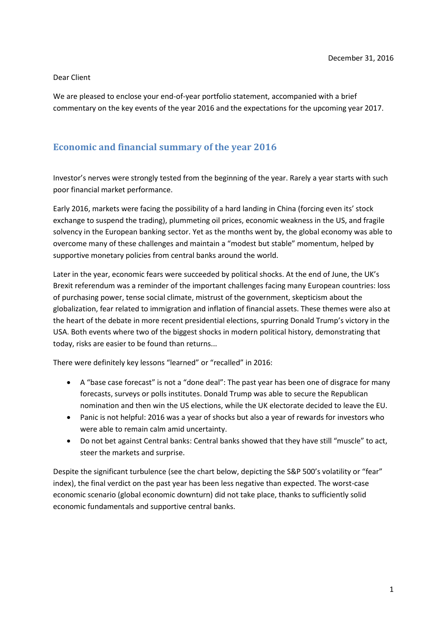#### Dear Client

We are pleased to enclose your end-of-year portfolio statement, accompanied with a brief commentary on the key events of the year 2016 and the expectations for the upcoming year 2017.

## **Economic and financial summary of the year 2016**

Investor's nerves were strongly tested from the beginning of the year. Rarely a year starts with such poor financial market performance.

Early 2016, markets were facing the possibility of a hard landing in China (forcing even its' stock exchange to suspend the trading), plummeting oil prices, economic weakness in the US, and fragile solvency in the European banking sector. Yet as the months went by, the global economy was able to overcome many of these challenges and maintain a "modest but stable" momentum, helped by supportive monetary policies from central banks around the world.

Later in the year, economic fears were succeeded by political shocks. At the end of June, the UK's Brexit referendum was a reminder of the important challenges facing many European countries: loss of purchasing power, tense social climate, mistrust of the government, skepticism about the globalization, fear related to immigration and inflation of financial assets. These themes were also at the heart of the debate in more recent presidential elections, spurring Donald Trump's victory in the USA. Both events where two of the biggest shocks in modern political history, demonstrating that today, risks are easier to be found than returns...

There were definitely key lessons "learned" or "recalled" in 2016:

- A "base case forecast" is not a "done deal": The past year has been one of disgrace for many forecasts, surveys or polls institutes. Donald Trump was able to secure the Republican nomination and then win the US elections, while the UK electorate decided to leave the EU.
- Panic is not helpful: 2016 was a year of shocks but also a year of rewards for investors who were able to remain calm amid uncertainty.
- Do not bet against Central banks: Central banks showed that they have still "muscle" to act, steer the markets and surprise.

Despite the significant turbulence (see the chart below, depicting the S&P 500's volatility or "fear" index), the final verdict on the past year has been less negative than expected. The worst-case economic scenario (global economic downturn) did not take place, thanks to sufficiently solid economic fundamentals and supportive central banks.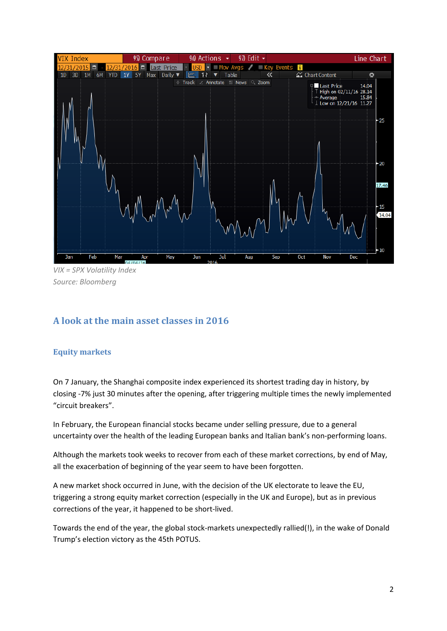

*VIX = SPX Volatility Index Source: Bloomberg*

# **A look at the main asset classes in 2016**

## **Equity markets**

On 7 January, the Shanghai composite index experienced its shortest trading day in history, by closing -7% just 30 minutes after the opening, after triggering multiple times the newly implemented "circuit breakers".

In February, the European financial stocks became under selling pressure, due to a general uncertainty over the health of the leading European banks and Italian bank's non-performing loans.

Although the markets took weeks to recover from each of these market corrections, by end of May, all the exacerbation of beginning of the year seem to have been forgotten.

A new market shock occurred in June, with the decision of the UK electorate to leave the EU, triggering a strong equity market correction (especially in the UK and Europe), but as in previous corrections of the year, it happened to be short-lived.

Towards the end of the year, the global stock-markets unexpectedly rallied(!), in the wake of Donald Trump's election victory as the 45th POTUS.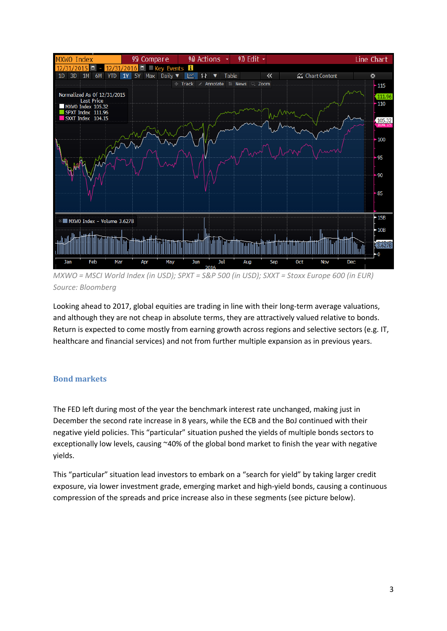

*MXWO = MSCI World Index (in USD); SPXT = S&P 500 (in USD); SXXT = Stoxx Europe 600 (in EUR) Source: Bloomberg*

Looking ahead to 2017, global equities are trading in line with their long-term average valuations, and although they are not cheap in absolute terms, they are attractively valued relative to bonds. Return is expected to come mostly from earning growth across regions and selective sectors (e.g. IT, healthcare and financial services) and not from further multiple expansion as in previous years.

### **Bond markets**

The FED left during most of the year the benchmark interest rate unchanged, making just in December the second rate increase in 8 years, while the ECB and the BoJ continued with their negative yield policies. This "particular" situation pushed the yields of multiple bonds sectors to exceptionally low levels, causing ~40% of the global bond market to finish the year with negative yields.

This "particular" situation lead investors to embark on a "search for yield" by taking larger credit exposure, via lower investment grade, emerging market and high-yield bonds, causing a continuous compression of the spreads and price increase also in these segments (see picture below).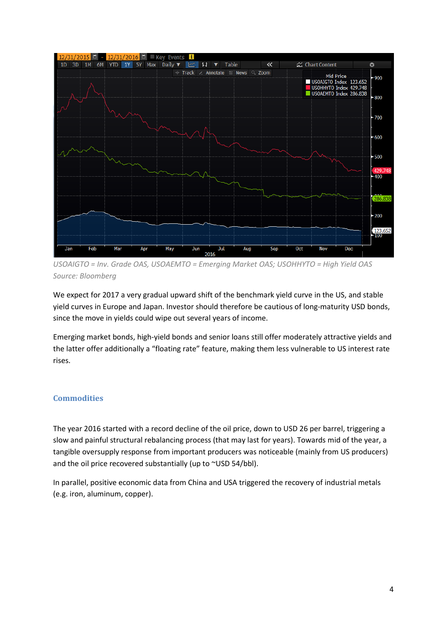

*USOAIGTO = Inv. Grade OAS, USOAEMTO = Emerging Market OAS; USOHHYTO = High Yield OAS Source: Bloomberg*

We expect for 2017 a very gradual upward shift of the benchmark yield curve in the US, and stable yield curves in Europe and Japan. Investor should therefore be cautious of long-maturity USD bonds, since the move in yields could wipe out several years of income.

Emerging market bonds, high-yield bonds and senior loans still offer moderately attractive yields and the latter offer additionally a "floating rate" feature, making them less vulnerable to US interest rate rises.

## **Commodities**

The year 2016 started with a record decline of the oil price, down to USD 26 per barrel, triggering a slow and painful structural rebalancing process (that may last for years). Towards mid of the year, a tangible oversupply response from important producers was noticeable (mainly from US producers) and the oil price recovered substantially (up to ~USD 54/bbl).

In parallel, positive economic data from China and USA triggered the recovery of industrial metals (e.g. iron, aluminum, copper).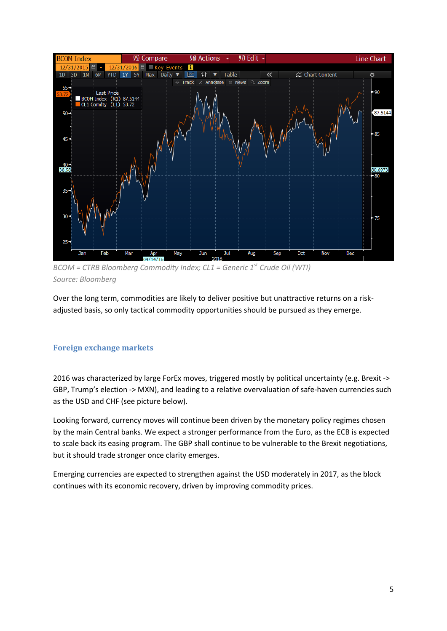

*BCOM = CTRB Bloomberg Commodity Index; CL1 = Generic 1st Crude Oil (WTI) Source: Bloomberg*

Over the long term, commodities are likely to deliver positive but unattractive returns on a riskadjusted basis, so only tactical commodity opportunities should be pursued as they emerge.

## **Foreign exchange markets**

2016 was characterized by large ForEx moves, triggered mostly by political uncertainty (e.g. Brexit -> GBP, Trump's election -> MXN), and leading to a relative overvaluation of safe-haven currencies such as the USD and CHF (see picture below).

Looking forward, currency moves will continue been driven by the monetary policy regimes chosen by the main Central banks. We expect a stronger performance from the Euro, as the ECB is expected to scale back its easing program. The GBP shall continue to be vulnerable to the Brexit negotiations, but it should trade stronger once clarity emerges.

Emerging currencies are expected to strengthen against the USD moderately in 2017, as the block continues with its economic recovery, driven by improving commodity prices.